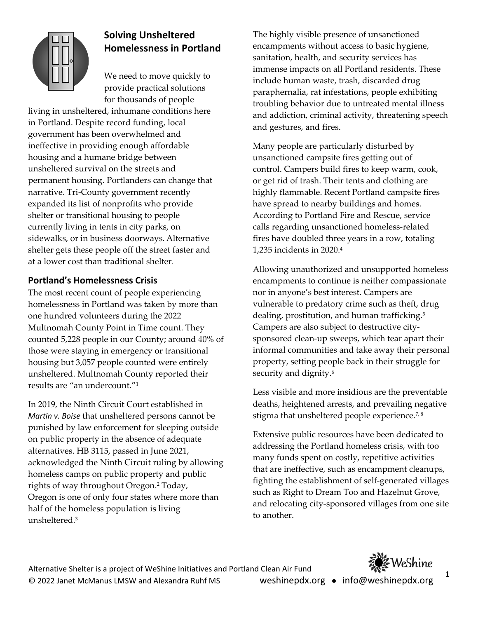

# **Solving Unsheltered Homelessness in Portland**

We need to move quickly to provide practical solutions for thousands of people

living in unsheltered, inhumane conditions here in Portland. Despite record funding, local government has been overwhelmed and ineffective in providing enough affordable housing and a humane bridge between unsheltered survival on the streets and permanent housing. Portlanders can change that narrative. Tri-County government recently expanded its list of nonprofits who provide shelter or transitional housing to people currently living in tents in city parks, on sidewalks, or in business doorways. Alternative shelter gets these people off the street faster and at a lower cost than traditional shelter.

## **Portland's Homelessness Crisis**

The most recent count of people experiencing homelessness in Portland was taken by more than one hundred volunteers during the 2022 Multnomah County Point in Time count. They counted 5,228 people in our County; around 40% of those were staying in emergency or transitional housing but 3,057 people counted were entirely unsheltered. Multnomah County reported their results are "an undercount."1

In 2019, the Ninth Circuit Court established in *Martin v. Boise* that unsheltered persons cannot be punished by law enforcement for sleeping outside on public property in the absence of adequate alternatives. HB 3115, passed in June 2021, acknowledged the Ninth Circuit ruling by allowing homeless camps on public property and public rights of way throughout Oregon.2 Today, Oregon is one of only four states where more than half of the homeless population is living unsheltered.3

The highly visible presence of unsanctioned encampments without access to basic hygiene, sanitation, health, and security services has immense impacts on all Portland residents. These include human waste, trash, discarded drug paraphernalia, rat infestations, people exhibiting troubling behavior due to untreated mental illness and addiction, criminal activity, threatening speech and gestures, and fires.

Many people are particularly disturbed by unsanctioned campsite fires getting out of control. Campers build fires to keep warm, cook, or get rid of trash. Their tents and clothing are highly flammable. Recent Portland campsite fires have spread to nearby buildings and homes. According to Portland Fire and Rescue, service calls regarding unsanctioned homeless-related fires have doubled three years in a row, totaling 1,235 incidents in 2020.4

Allowing unauthorized and unsupported homeless encampments to continue is neither compassionate nor in anyone's best interest. Campers are vulnerable to predatory crime such as theft, drug dealing, prostitution, and human trafficking.<sup>5</sup> Campers are also subject to destructive citysponsored clean-up sweeps, which tear apart their informal communities and take away their personal property, setting people back in their struggle for security and dignity.<sup>6</sup>

Less visible and more insidious are the preventable deaths, heightened arrests, and prevailing negative stigma that unsheltered people experience.<sup>7,8</sup>

Extensive public resources have been dedicated to addressing the Portland homeless crisis, with too many funds spent on costly, repetitive activities that are ineffective, such as encampment cleanups, fighting the establishment of self-generated villages such as Right to Dream Too and Hazelnut Grove, and relocating city-sponsored villages from one site to another.

Alternative Shelter is a project of WeShine Initiatives and Portland Clean Air Fund © 2022 Janet McManus LMSW and Alexandra Ruhf MS weshinepdx.org • info@weshinepdx.org



1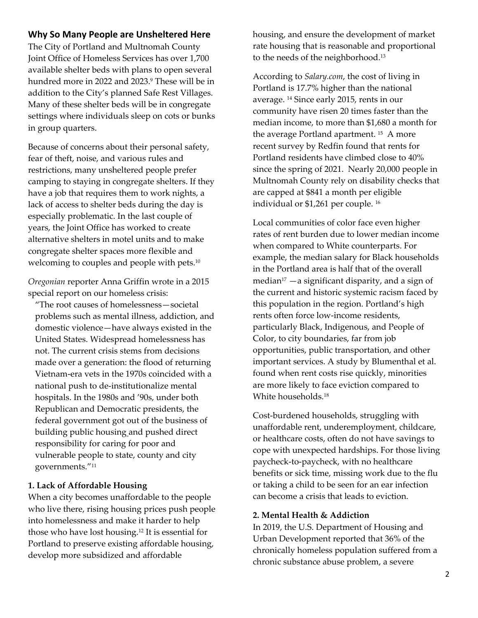## **Why So Many People are Unsheltered Here**

The City of Portland and Multnomah County Joint Office of Homeless Services has over 1,700 available shelter beds with plans to open several hundred more in 2022 and 2023.<sup>9</sup> These will be in addition to the City's planned Safe Rest Villages. Many of these shelter beds will be in congregate settings where individuals sleep on cots or bunks in group quarters.

Because of concerns about their personal safety, fear of theft, noise, and various rules and restrictions, many unsheltered people prefer camping to staying in congregate shelters. If they have a job that requires them to work nights, a lack of access to shelter beds during the day is especially problematic. In the last couple of years, the Joint Office has worked to create alternative shelters in motel units and to make congregate shelter spaces more flexible and welcoming to couples and people with pets.<sup>10</sup>

*Oregonian* reporter Anna Griffin wrote in a 2015 special report on our homeless crisis:

"The root causes of homelessness—societal problems such as mental illness, addiction, and domestic violence—have always existed in the United States. Widespread homelessness has not. The current crisis stems from decisions made over a generation: the flood of returning Vietnam-era vets in the 1970s coincided with a national push to de-institutionalize mental hospitals. In the 1980s and '90s, under both Republican and Democratic presidents, the federal government got out of the business of building public housing and pushed direct responsibility for caring for poor and vulnerable people to state, county and city governments."11

#### **1. Lack of Affordable Housing**

When a city becomes unaffordable to the people who live there, rising housing prices push people into homelessness and make it harder to help those who have lost housing.12 It is essential for Portland to preserve existing affordable housing, develop more subsidized and affordable

housing, and ensure the development of market rate housing that is reasonable and proportional to the needs of the neighborhood.13

According to *Salary.com*, the cost of living in Portland is 17.7% higher than the national average. 14 Since early 2015, rents in our community have risen 20 times faster than the median income, to more than \$1,680 a month for the average Portland apartment. 15 A more recent survey by Redfin found that rents for Portland residents have climbed close to 40% since the spring of 2021. Nearly 20,000 people in Multnomah County rely on disability checks that are capped at \$841 a month per eligible individual or \$1,261 per couple. 16

Local communities of color face even higher rates of rent burden due to lower median income when compared to White counterparts. For example, the median salary for Black households in the Portland area is half that of the overall median<sup>17</sup> — a significant disparity, and a sign of the current and historic systemic racism faced by this population in the region. Portland's high rents often force low-income residents, particularly Black, Indigenous, and People of Color, to city boundaries, far from job opportunities, public transportation, and other important services. A study by Blumenthal et al. found when rent costs rise quickly, minorities are more likely to face eviction compared to White households.18

Cost-burdened households, struggling with unaffordable rent, underemployment, childcare, or healthcare costs, often do not have savings to cope with unexpected hardships. For those living paycheck-to-paycheck, with no healthcare benefits or sick time, missing work due to the flu or taking a child to be seen for an ear infection can become a crisis that leads to eviction.

#### **2. Mental Health & Addiction**

In 2019, the U.S. Department of Housing and Urban Development reported that 36% of the chronically homeless population suffered from a chronic substance abuse problem, a severe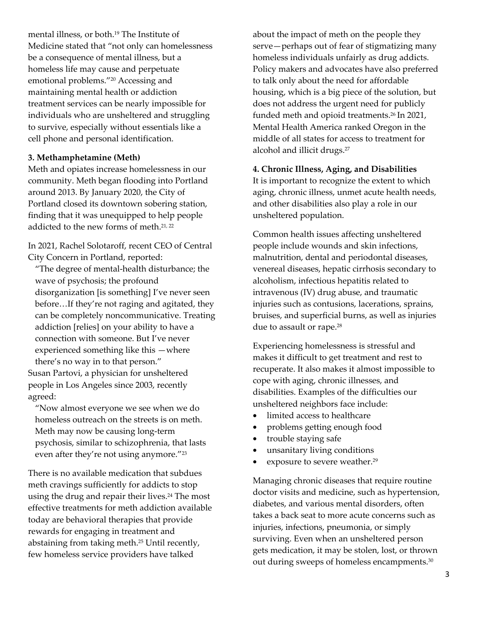mental illness, or both.19 The Institute of Medicine stated that "not only can homelessness be a consequence of mental illness, but a homeless life may cause and perpetuate emotional problems."20 Accessing and maintaining mental health or addiction treatment services can be nearly impossible for individuals who are unsheltered and struggling to survive, especially without essentials like a cell phone and personal identification.

#### **3. Methamphetamine (Meth)**

Meth and opiates increase homelessness in our community. Meth began flooding into Portland around 2013. By January 2020, the City of Portland closed its downtown sobering station, finding that it was unequipped to help people addicted to the new forms of meth.<sup>21, 22</sup>

In 2021, Rachel Solotaroff, recent CEO of Central City Concern in Portland, reported:

"The degree of mental-health disturbance; the wave of psychosis; the profound disorganization [is something] I've never seen before…If they're not raging and agitated, they can be completely noncommunicative. Treating addiction [relies] on your ability to have a connection with someone. But I've never experienced something like this —where there's no way in to that person."

Susan Partovi, a physician for unsheltered people in Los Angeles since 2003, recently agreed:

"Now almost everyone we see when we do homeless outreach on the streets is on meth. Meth may now be causing long-term psychosis, similar to schizophrenia, that lasts even after they're not using anymore."<sup>23</sup>

There is no available medication that subdues meth cravings sufficiently for addicts to stop using the drug and repair their lives.<sup>24</sup> The most effective treatments for meth addiction available today are behavioral therapies that provide rewards for engaging in treatment and abstaining from taking meth.25 Until recently, few homeless service providers have talked

about the impact of meth on the people they serve—perhaps out of fear of stigmatizing many homeless individuals unfairly as drug addicts. Policy makers and advocates have also preferred to talk only about the need for affordable housing, which is a big piece of the solution, but does not address the urgent need for publicly funded meth and opioid treatments.<sup>26</sup> In 2021, Mental Health America ranked Oregon in the middle of all states for access to treatment for alcohol and illicit drugs.27

## **4. Chronic Illness, Aging, and Disabilities**

It is important to recognize the extent to which aging, chronic illness, unmet acute health needs, and other disabilities also play a role in our unsheltered population.

Common health issues affecting unsheltered people include wounds and skin infections, malnutrition, dental and periodontal diseases, venereal diseases, hepatic cirrhosis secondary to alcoholism, infectious hepatitis related to intravenous (IV) drug abuse, and traumatic injuries such as contusions, lacerations, sprains, bruises, and superficial burns, as well as injuries due to assault or rape.<sup>28</sup>

Experiencing homelessness is stressful and makes it difficult to get treatment and rest to recuperate. It also makes it almost impossible to cope with aging, chronic illnesses, and disabilities. Examples of the difficulties our unsheltered neighbors face include:

- limited access to healthcare
- problems getting enough food
- trouble staying safe
- unsanitary living conditions
- exposure to severe weather.<sup>29</sup>

Managing chronic diseases that require routine doctor visits and medicine, such as hypertension, diabetes, and various mental disorders, often takes a back seat to more acute concerns such as injuries, infections, pneumonia, or simply surviving. Even when an unsheltered person gets medication, it may be stolen, lost, or thrown out during sweeps of homeless encampments.<sup>30</sup>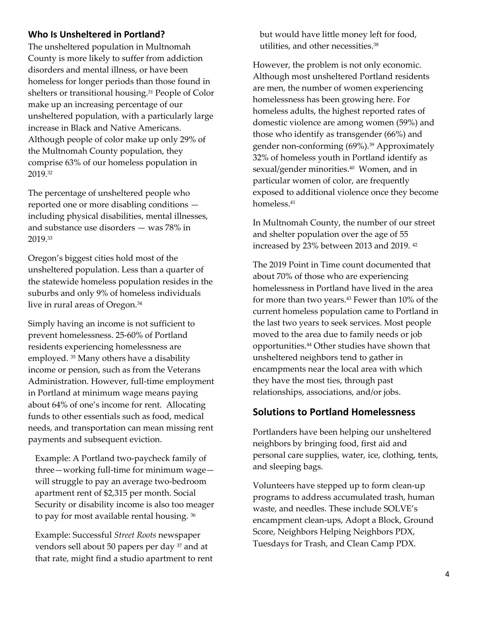## **Who Is Unsheltered in Portland?**

The unsheltered population in Multnomah County is more likely to suffer from addiction disorders and mental illness, or have been homeless for longer periods than those found in shelters or transitional housing.<sup>31</sup> People of Color make up an increasing percentage of our unsheltered population, with a particularly large increase in Black and Native Americans. Although people of color make up only 29% of the Multnomah County population, they comprise 63% of our homeless population in 2019.32

The percentage of unsheltered people who reported one or more disabling conditions including physical disabilities, mental illnesses, and substance use disorders — was 78% in 2019.33

Oregon's biggest cities hold most of the unsheltered population. Less than a quarter of the statewide homeless population resides in the suburbs and only 9% of homeless individuals live in rural areas of Oregon.34

Simply having an income is not sufficient to prevent homelessness. 25-60% of Portland residents experiencing homelessness are employed. 35 Many others have a disability income or pension, such as from the Veterans Administration. However, full-time employment in Portland at minimum wage means paying about 64% of one's income for rent. Allocating funds to other essentials such as food, medical needs, and transportation can mean missing rent payments and subsequent eviction.

Example: A Portland two-paycheck family of three—working full-time for minimum wage will struggle to pay an average two-bedroom apartment rent of \$2,315 per month. Social Security or disability income is also too meager to pay for most available rental housing. 36

Example: Successful *Street Roots* newspaper vendors sell about 50 papers per day 37 and at that rate, might find a studio apartment to rent but would have little money left for food, utilities, and other necessities.38

However, the problem is not only economic. Although most unsheltered Portland residents are men, the number of women experiencing homelessness has been growing here. For homeless adults, the highest reported rates of domestic violence are among women (59%) and those who identify as transgender (66%) and gender non-conforming (69%).39 Approximately 32% of homeless youth in Portland identify as sexual/gender minorities.<sup>40</sup> Women, and in particular women of color, are frequently exposed to additional violence once they become homeless.41

In Multnomah County, the number of our street and shelter population over the age of 55 increased by 23% between 2013 and 2019. 42

The 2019 Point in Time count documented that about 70% of those who are experiencing homelessness in Portland have lived in the area for more than two years.<sup>43</sup> Fewer than 10% of the current homeless population came to Portland in the last two years to seek services. Most people moved to the area due to family needs or job opportunities.44 Other studies have shown that unsheltered neighbors tend to gather in encampments near the local area with which they have the most ties, through past relationships, associations, and/or jobs.

## **Solutions to Portland Homelessness**

Portlanders have been helping our unsheltered neighbors by bringing food, first aid and personal care supplies, water, ice, clothing, tents, and sleeping bags.

Volunteers have stepped up to form clean-up programs to address accumulated trash, human waste, and needles. These include SOLVE's encampment clean-ups, Adopt a Block, Ground Score, Neighbors Helping Neighbors PDX, Tuesdays for Trash, and Clean Camp PDX.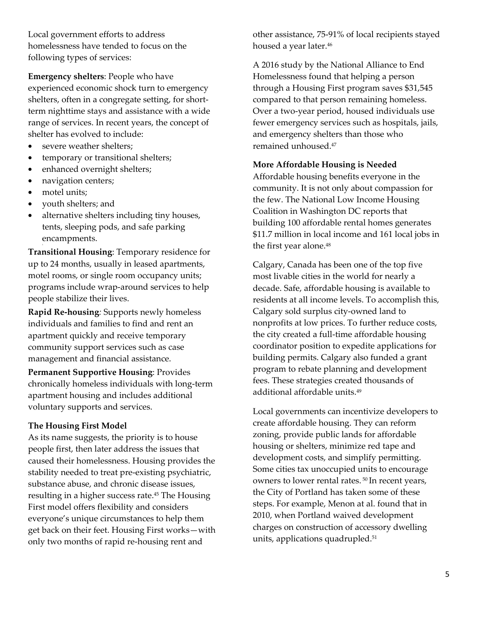Local government efforts to address homelessness have tended to focus on the following types of services:

**Emergency shelters**: People who have experienced economic shock turn to emergency shelters, often in a congregate setting, for shortterm nighttime stays and assistance with a wide range of services. In recent years, the concept of shelter has evolved to include:

- severe weather shelters;
- temporary or transitional shelters;
- enhanced overnight shelters;
- navigation centers;
- motel units;
- youth shelters; and
- alternative shelters including tiny houses, tents, sleeping pods, and safe parking encampments.

**Transitional Housing**: Temporary residence for up to 24 months, usually in leased apartments, motel rooms, or single room occupancy units; programs include wrap-around services to help people stabilize their lives.

**Rapid Re-housing***:* Supports newly homeless individuals and families to find and rent an apartment quickly and receive temporary community support services such as case management and financial assistance.

**Permanent Supportive Housing**: Provides chronically homeless individuals with long-term apartment housing and includes additional voluntary supports and services.

#### **The Housing First Model**

As its name suggests, the priority is to house people first, then later address the issues that caused their homelessness. Housing provides the stability needed to treat pre-existing psychiatric, substance abuse, and chronic disease issues, resulting in a higher success rate.45 The Housing First model offers flexibility and considers everyone's unique circumstances to help them get back on their feet. Housing First works—with only two months of rapid re-housing rent and

other assistance, 75-91% of local recipients stayed housed a year later.<sup>46</sup>

A 2016 study by the National Alliance to End Homelessness found that helping a person through a Housing First program saves \$31,545 compared to that person remaining homeless. Over a two-year period, housed individuals use fewer emergency services such as hospitals, jails, and emergency shelters than those who remained unhoused.47

## **More Affordable Housing is Needed**

Affordable housing benefits everyone in the community. It is not only about compassion for the few. The National Low Income Housing Coalition in Washington DC reports that building 100 affordable rental homes generates \$11.7 million in local income and 161 local jobs in the first year alone.<sup>48</sup>

Calgary, Canada has been one of the top five most livable cities in the world for nearly a decade. Safe, affordable housing is available to residents at all income levels. To accomplish this, Calgary sold surplus city-owned land to nonprofits at low prices. To further reduce costs, the city created a full-time affordable housing coordinator position to expedite applications for building permits. Calgary also funded a grant program to rebate planning and development fees. These strategies created thousands of additional affordable units.49

Local governments can incentivize developers to create affordable housing. They can reform zoning, provide public lands for affordable housing or shelters, minimize red tape and development costs, and simplify permitting. Some cities tax unoccupied units to encourage owners to lower rental rates. 50 In recent years, the City of Portland has taken some of these steps. For example, Menon at al. found that in 2010, when Portland waived development charges on construction of accessory dwelling units, applications quadrupled.<sup>51</sup>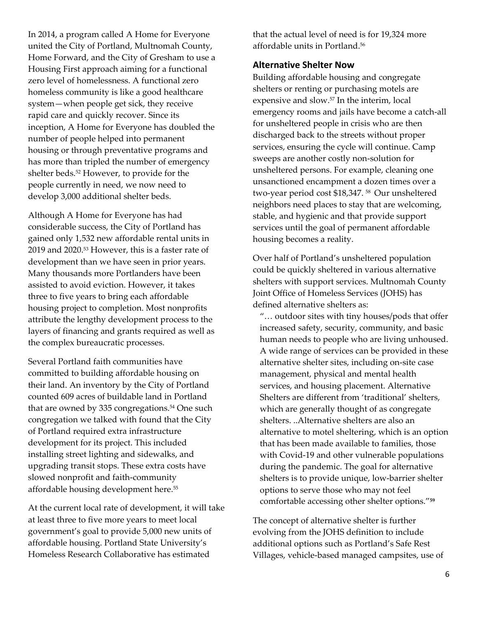In 2014, a program called A Home for Everyone united the City of Portland, Multnomah County, Home Forward, and the City of Gresham to use a Housing First approach aiming for a functional zero level of homelessness. A functional zero homeless community is like a good healthcare system—when people get sick, they receive rapid care and quickly recover. Since its inception, A Home for Everyone has doubled the number of people helped into permanent housing or through preventative programs and has more than tripled the number of emergency shelter beds.52 However, to provide for the people currently in need, we now need to develop 3,000 additional shelter beds.

Although A Home for Everyone has had considerable success, the City of Portland has gained only 1,532 new affordable rental units in 2019 and 2020.53 However, this is a faster rate of development than we have seen in prior years. Many thousands more Portlanders have been assisted to avoid eviction. However, it takes three to five years to bring each affordable housing project to completion. Most nonprofits attribute the lengthy development process to the layers of financing and grants required as well as the complex bureaucratic processes.

Several Portland faith communities have committed to building affordable housing on their land. An inventory by the City of Portland counted 609 acres of buildable land in Portland that are owned by 335 congregations.<sup>54</sup> One such congregation we talked with found that the City of Portland required extra infrastructure development for its project. This included installing street lighting and sidewalks, and upgrading transit stops. These extra costs have slowed nonprofit and faith-community affordable housing development here.55

At the current local rate of development, it will take at least three to five more years to meet local government's goal to provide 5,000 new units of affordable housing. Portland State University's Homeless Research Collaborative has estimated

that the actual level of need is for 19,324 more affordable units in Portland.56

## **Alternative Shelter Now**

Building affordable housing and congregate shelters or renting or purchasing motels are expensive and slow.57 In the interim, local emergency rooms and jails have become a catch-all for unsheltered people in crisis who are then discharged back to the streets without proper services, ensuring the cycle will continue. Camp sweeps are another costly non-solution for unsheltered persons. For example, cleaning one unsanctioned encampment a dozen times over a two-year period cost \$18,347. 58 Our unsheltered neighbors need places to stay that are welcoming, stable, and hygienic and that provide support services until the goal of permanent affordable housing becomes a reality.

Over half of Portland's unsheltered population could be quickly sheltered in various alternative shelters with support services. Multnomah County Joint Office of Homeless Services (JOHS) has defined alternative shelters as:

"… outdoor sites with tiny houses/pods that offer increased safety, security, community, and basic human needs to people who are living unhoused. A wide range of services can be provided in these alternative shelter sites, including on-site case management, physical and mental health services, and housing placement. Alternative Shelters are different from 'traditional' shelters, which are generally thought of as congregate shelters. ..Alternative shelters are also an alternative to motel sheltering, which is an option that has been made available to families, those with Covid-19 and other vulnerable populations during the pandemic. The goal for alternative shelters is to provide unique, low-barrier shelter options to serve those who may not feel comfortable accessing other shelter options."**<sup>59</sup>**

The concept of alternative shelter is further evolving from the JOHS definition to include additional options such as Portland's Safe Rest Villages, vehicle-based managed campsites, use of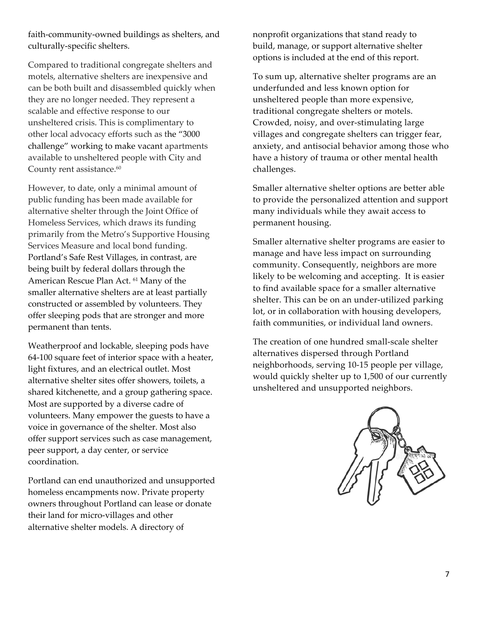faith-community-owned buildings as shelters, and culturally-specific shelters.

Compared to traditional congregate shelters and motels, alternative shelters are inexpensive and can be both built and disassembled quickly when they are no longer needed. They represent a scalable and effective response to our unsheltered crisis. This is complimentary to other local advocacy efforts such as the "3000 challenge" working to make vacant apartments available to unsheltered people with City and County rent assistance.<sup>60</sup>

However, to date, only a minimal amount of public funding has been made available for alternative shelter through the Joint Office of Homeless Services, which draws its funding primarily from the Metro's Supportive Housing Services Measure and local bond funding. Portland's Safe Rest Villages, in contrast, are being built by federal dollars through the American Rescue Plan Act. 61 Many of the smaller alternative shelters are at least partially constructed or assembled by volunteers. They offer sleeping pods that are stronger and more permanent than tents.

Weatherproof and lockable, sleeping pods have 64-100 square feet of interior space with a heater, light fixtures, and an electrical outlet. Most alternative shelter sites offer showers, toilets, a shared kitchenette, and a group gathering space. Most are supported by a diverse cadre of volunteers. Many empower the guests to have a voice in governance of the shelter. Most also offer support services such as case management, peer support, a day center, or service coordination.

Portland can end unauthorized and unsupported homeless encampments now. Private property owners throughout Portland can lease or donate their land for micro-villages and other alternative shelter models. A directory of

nonprofit organizations that stand ready to build, manage, or support alternative shelter options is included at the end of this report.

To sum up, alternative shelter programs are an underfunded and less known option for unsheltered people than more expensive, traditional congregate shelters or motels. Crowded, noisy, and over-stimulating large villages and congregate shelters can trigger fear, anxiety, and antisocial behavior among those who have a history of trauma or other mental health challenges.

Smaller alternative shelter options are better able to provide the personalized attention and support many individuals while they await access to permanent housing.

Smaller alternative shelter programs are easier to manage and have less impact on surrounding community. Consequently, neighbors are more likely to be welcoming and accepting. It is easier to find available space for a smaller alternative shelter. This can be on an under-utilized parking lot, or in collaboration with housing developers, faith communities, or individual land owners.

The creation of one hundred small-scale shelter alternatives dispersed through Portland neighborhoods, serving 10-15 people per village, would quickly shelter up to 1,500 of our currently unsheltered and unsupported neighbors.

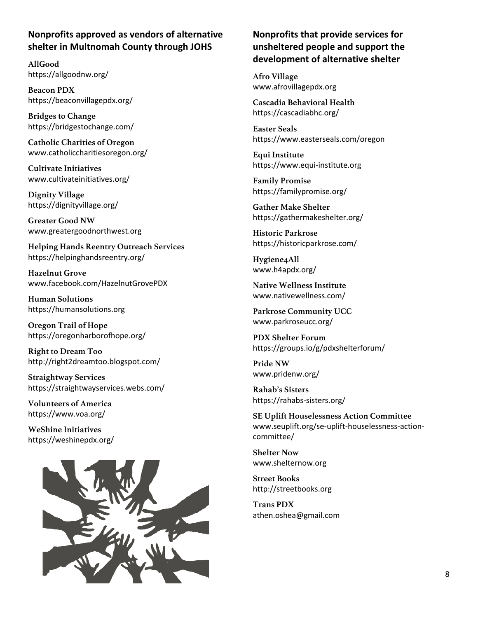## **Nonprofits approved as vendors of alternative shelter in Multnomah County through JOHS**

**AllGood**  https://allgoodnw.org/

**Beacon PDX**  https://beaconvillagepdx.org/

**Bridges to Change**  https://bridgestochange.com/

**Catholic Charities of Oregon**  www.catholiccharitiesoregon.org/

**Cultivate Initiatives**  www.cultivateinitiatives.org/

**Dignity Village**  https://dignityvillage.org/

**Greater Good NW**  www.greatergoodnorthwest.org

**Helping Hands Reentry Outreach Services**  https://helpinghandsreentry.org/

**Hazelnut Grove**  www.facebook.com/HazelnutGrovePDX

**Human Solutions**  https://humansolutions.org

**Oregon Trail of Hope**  https://oregonharborofhope.org/

**Right to Dream Too**  http://right2dreamtoo.blogspot.com/

**Straightway Services**  https://straightwayservices.webs.com/

**Volunteers of America**  https://www.voa.org/

**WeShine Initiatives**  https://weshinepdx.org/



## **Nonprofits that provide services for unsheltered people and support the development of alternative shelter**

**Afro Village**  www.afrovillagepdx.org

**Cascadia Behavioral Health**  https://cascadiabhc.org/

**Easter Seals**  https://www.easterseals.com/oregon

**Equi Institute**  https://www.equi-institute.org

**Family Promise**  https://familypromise.org/

**Gather Make Shelter**  https://gathermakeshelter.org/

**Historic Parkrose**  https://historicparkrose.com/

**Hygiene4All**  www.h4apdx.org/

**Native Wellness Institute**  www.nativewellness.com/

**Parkrose Community UCC**  www.parkroseucc.org/

**PDX Shelter Forum**  https://groups.io/g/pdxshelterforum/

**Pride NW**  www.pridenw.org/

**Rahab's Sisters**  https://rahabs-sisters.org/

**SE Uplift Houselessness Action Committee**  www.seuplift.org/se-uplift-houselessness-actioncommittee/

**Shelter Now**  www.shelternow.org

**Street Books**  http://streetbooks.org

**Trans PDX**  athen.oshea@gmail.com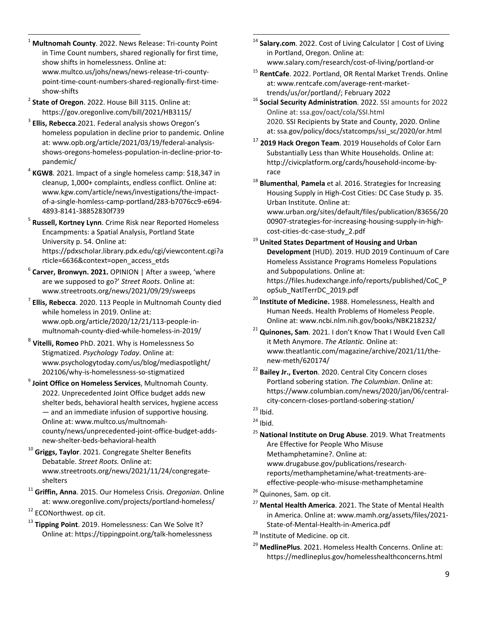<sup>1</sup> **Multnomah County**. 2022. News Release: Tri-county Point in Time Count numbers, shared regionally for first time, show shifts in homelessness. Online at: www.multco.us/johs/news/news-release-tri-countypoint-time-count-numbers-shared-regionally-first-timeshow-shifts 2 **State of Oregon**. 2022. House Bill 3115. Online at:

https://gov.oregonlive.com/bill/2021/HB3115/ 3 **Ellis, Rebecca**.2021. Federal analysis shows Oregon's

 $\overline{a}$ 

homeless population in decline prior to pandemic. Online at: www.opb.org/article/2021/03/19/federal-analysisshows-oregons-homeless-population-in-decline-prior-topandemic/ 4 **KGW8**. 2021. Impact of a single homeless camp: \$18,347 in

cleanup, 1,000+ complaints, endless conflict. Online at: www.kgw.com/article/news/investigations/the-impactof-a-single-homless-camp-portland/283-b7076cc9-e694-

4893-8141-38852830f739 5 **Russell, Kortney Lynn**. Crime Risk near Reported Homeless Encampments: a Spatial Analysis, Portland State University p. 54. Online at: https://pdxscholar.library.pdx.edu/cgi/viewcontent.cgi?a rticle=6636&context=open\_access\_etds 6

 **Carver, Bronwyn. 2021.** OPINION | After a sweep, 'where are we supposed to go?' *Street Roots*. Online at:

www.streetroots.org/news/2021/09/29/sweeps 7 **Ellis, Rebecca**. 2020. 113 People in Multnomah County died while homeless in 2019. Online at: www.opb.org/article/2020/12/21/113-people-inmultnomah-county-died-while-homeless-in-2019/

<sup>8</sup> **Vitelli, Romeo** PhD. 2021. Why is Homelessness So Stigmatized. *Psychology Today*. Online at: www.psychologytoday.com/us/blog/mediaspotlight/

202106/why-is-homelessness-so-stigmatized 9 **Joint Office on Homeless Services**, Multnomah County. 2022. Unprecedented Joint Office budget adds new shelter beds, behavioral health services, hygiene access — and an immediate infusion of supportive housing. Online at: www.multco.us/multnomahcounty/news/unprecedented-joint-office-budget-adds-

new-shelter-beds-behavioral-health 10 **Griggs, Taylor**. 2021. Congregate Shelter Benefits Debatable. *Street Roots.* Online at: www.streetroots.org/news/2021/11/24/congregate-

shelters 11 **Griffin, Anna**. 2015. Our Homeless Crisis. *Oregonian*. Online at: www.oregonlive.com/projects/portland-homeless/ 12 ECONorthwest. op cit.

<sup>13</sup> Tipping Point. 2019. Homelessness: Can We Solve It? Online at: https://tippingpoint.org/talk-homelessness <sup>14</sup> Salary.com. 2022. Cost of Living Calculator | Cost of Living in Portland, Oregon. Online at:

www.salary.com/research/cost-of-living/portland-or 15 **RentCafe**. 2022. Portland, OR Rental Market Trends. Online at: www.rentcafe.com/average-rent-markettrends/us/or/portland/; February 2022 16 **Social Security Administration**. 2022. SSI amounts for 2022

Online at: ssa.gov/oact/cola/SSI.html 2020. SSI Recipients by State and County, 2020. Online at: ssa.gov/policy/docs/statcomps/ssi\_sc/2020/or.html

<sup>17</sup> **2019 Hack Oregon Team**. 2019 Households of Color Earn Substantially Less than White Households. Online at: http://civicplatform.org/cards/household-income-by-

race 18 **Blumenthal**, **Pamela** et al. 2016. Strategies for Increasing Housing Supply in High-Cost Cities: DC Case Study p. 35. Urban Institute. Online at:

www.urban.org/sites/default/files/publication/83656/20 00907-strategies-for-increasing-housing-supply-in-high-

cost-cities-dc-case-study\_2.pdf 19 **United States Department of Housing and Urban Development** (HUD). 2019. HUD 2019 Continuum of Care Homeless Assistance Programs Homeless Populations and Subpopulations. Online at: https://files.hudexchange.info/reports/published/CoC\_P

opSub\_NatlTerrDC\_2019.pdf 20 **Institute of Medicine.** 1988. Homelessness, Health and Human Needs. Health Problems of Homeless People. Online at: www.ncbi.nlm.nih.gov/books/NBK218232/ 21 **Quinones, Sam**. 2021. I don't Know That I Would Even Call

it Meth Anymore. *The Atlantic.* Online at: www.theatlantic.com/magazine/archive/2021/11/the-

new-meth/620174/<br><sup>22</sup> Bailey Jr., Everton. 2020. Central City Concern closes Portland sobering station. *The Columbian*. Online at: https://www.columbian.com/news/2020/jan/06/centralcity-concern-closes-portland-sobering-station/ 23 Ibid.

 $24$  Ibid.

<sup>25</sup> **National Institute on Drug Abuse**. 2019. What Treatments Are Effective for People Who Misuse Methamphetamine?. Online at: www.drugabuse.gov/publications/researchreports/methamphetamine/what-treatments-areeffective-people-who-misuse-methamphetamine 26 Quinones, Sam. op cit.

<sup>27</sup> **Mental Health America**. 2021. The State of Mental Health in America. Online at: www.mamh.org/assets/files/2021- State-of-Mental-Health-in-America.pdf<br><sup>28</sup> Institute of Medicine. op cit.

<sup>29</sup> **MedlinePlus**. 2021. Homeless Health Concerns. Online at: https://medlineplus.gov/homelesshealthconcerns.html